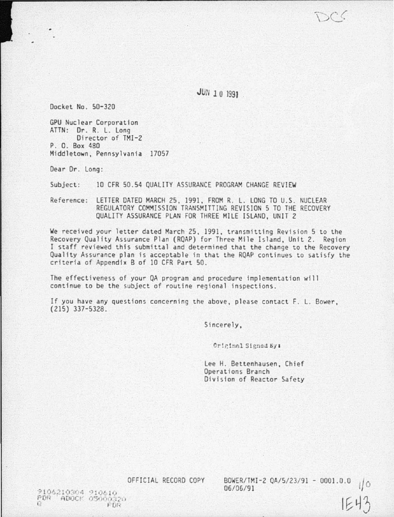**JUN 10 1991**.

Docket No . 50-320

GPU Nuclear Corporation ATTN: Or. R. L. long Director of TMI-2 P. 0. Box 480 Middletown, Pennsylvania 17057

Dear Or. long:

Subject: 10 CFR 50.54 QUALITY ASSURANCE PROGRAM CHANGE REVIEW

Reference: LETTER DATED MARCH 25, 1991, FROM R. L. LONG TO U.S. NUCLEAR REGULATORY COMMISSION TRANSMITTWG REVISION 5 TO THE RECOVERY QUALITY ASSURANCE PLAN FOR THREE MILE ISLAND, UNIT 2

We received your letter dated March 25. 1991. transmitting Revision 5 to the Recovery Quality Assurance Plan (RQAP) for Three Mile Island, Unit 2. Region I staff reviewed this submittal and determined that the change to the Recovery Quality Assurance plan is acceptable in that the RQAP continues to satisfy the criteria of Appendix B of 10 CFR Part 50 .

The effectiveness of your QA program and procedure implementation will continue to be the subject of routine regional Inspections.

If you have any questions concerning the above, please contact F. L. Bower, (215) 337-5328.

Sincerely,

Criginal Signed By:

lee H. Bettenhausen, Chief Operations Branch Division of Reactor Safety

OFFICIAL RECORD COPY BOWER/TMI-2 Q.A/S/ 23/ 91 - 0001.0.0 t/0 06/ 06/ 91

1E43

 $9106210304$  910610 PUR; ADOCK 05000320 I *F* (It,